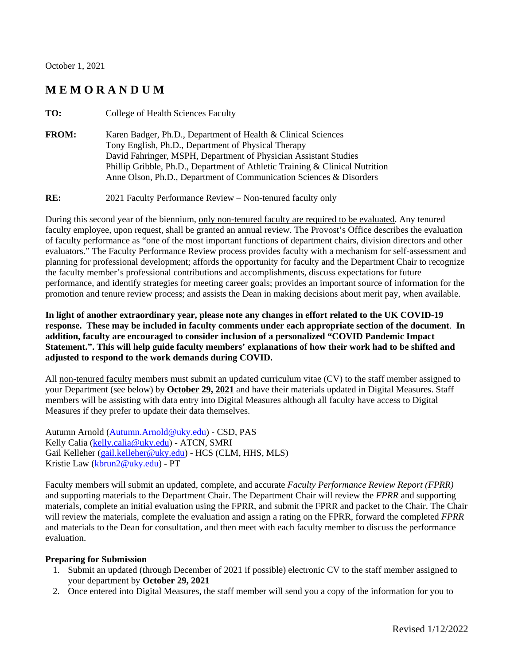October 1, 2021

## **M E M O R A N D U M**

| Karen Badger, Ph.D., Department of Health & Clinical Sciences                                                                                                                                           |  |
|---------------------------------------------------------------------------------------------------------------------------------------------------------------------------------------------------------|--|
| Tony English, Ph.D., Department of Physical Therapy<br>David Fahringer, MSPH, Department of Physician Assistant Studies<br>Phillip Gribble, Ph.D., Department of Athletic Training & Clinical Nutrition |  |
| Anne Olson, Ph.D., Department of Communication Sciences & Disorders                                                                                                                                     |  |

**RE:** 2021 Faculty Performance Review – Non-tenured faculty only

During this second year of the biennium, only non-tenured faculty are required to be evaluated. Any tenured faculty employee, upon request, shall be granted an annual review. The Provost's Office describes the evaluation of faculty performance as "one of the most important functions of department chairs, division directors and other evaluators." The Faculty Performance Review process provides faculty with a mechanism for self-assessment and planning for professional development; affords the opportunity for faculty and the Department Chair to recognize the faculty member's professional contributions and accomplishments, discuss expectations for future performance, and identify strategies for meeting career goals; provides an important source of information for the promotion and tenure review process; and assists the Dean in making decisions about merit pay, when available.

**In light of another extraordinary year, please note any changes in effort related to the UK COVID-19 response. These may be included in faculty comments under each appropriate section of the document**. **In addition, faculty are encouraged to consider inclusion of a personalized "COVID Pandemic Impact Statement.". This will help guide faculty members' explanations of how their work had to be shifted and adjusted to respond to the work demands during COVID.** 

All non-tenured faculty members must submit an updated curriculum vitae (CV) to the staff member assigned to your Department (see below) by **October 29, 2021** and have their materials updated in Digital Measures. Staff members will be assisting with data entry into Digital Measures although all faculty have access to Digital Measures if they prefer to update their data themselves.

Autumn Arnold [\(Autumn.Arnold@uky.edu\)](mailto:Autumn.Arnold@uky.edu) - CSD, PAS Kelly Calia [\(kelly.calia@uky.edu\)](mailto:kelly.calia@uky.edu) - ATCN, SMRI Gail Kelleher [\(gail.kelleher@uky.edu\)](mailto:gail.kelleher@uky.edu) - HCS (CLM, HHS, MLS) Kristie Law [\(kbrun2@uky.edu\)](mailto:kbrun2@uky.edu) - PT

Faculty members will submit an updated, complete, and accurate *Faculty Performance Review Report (FPRR)* and supporting materials to the Department Chair. The Department Chair will review the *FPRR* and supporting materials, complete an initial evaluation using the FPRR, and submit the FPRR and packet to the Chair. The Chair will review the materials, complete the evaluation and assign a rating on the FPRR, forward the completed *FPRR* and materials to the Dean for consultation, and then meet with each faculty member to discuss the performance evaluation.

### **Preparing for Submission**

- 1. Submit an updated (through December of 2021 if possible) electronic CV to the staff member assigned to your department by **October 29, 2021**
- 2. Once entered into Digital Measures, the staff member will send you a copy of the information for you to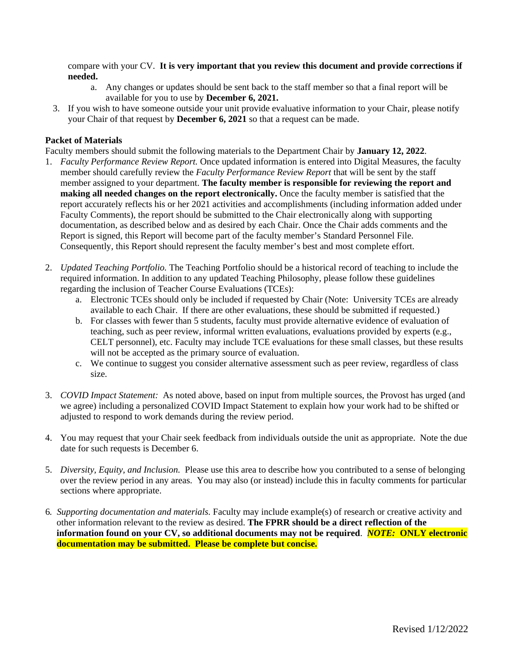compare with your CV. **It is very important that you review this document and provide corrections if needed.**

- a. Any changes or updates should be sent back to the staff member so that a final report will be available for you to use by **December 6, 2021.**
- 3. If you wish to have someone outside your unit provide evaluative information to your Chair, please notify your Chair of that request by **December 6, 2021** so that a request can be made.

### **Packet of Materials**

Faculty members should submit the following materials to the Department Chair by **January 12, 2022**.

- 1. *Faculty Performance Review Report.* Once updated information is entered into Digital Measures, the faculty member should carefully review the *Faculty Performance Review Report* that will be sent by the staff member assigned to your department. **The faculty member is responsible for reviewing the report and making all needed changes on the report electronically.** Once the faculty member is satisfied that the report accurately reflects his or her 2021 activities and accomplishments (including information added under Faculty Comments), the report should be submitted to the Chair electronically along with supporting documentation, as described below and as desired by each Chair. Once the Chair adds comments and the Report is signed, this Report will become part of the faculty member's Standard Personnel File. Consequently, this Report should represent the faculty member's best and most complete effort.
- 2. *Updated Teaching Portfolio.* The Teaching Portfolio should be a historical record of teaching to include the required information. In addition to any updated Teaching Philosophy, please follow these guidelines regarding the inclusion of Teacher Course Evaluations (TCEs):
	- a. Electronic TCEs should only be included if requested by Chair (Note: University TCEs are already available to each Chair. If there are other evaluations, these should be submitted if requested.)
	- b. For classes with fewer than 5 students, faculty must provide alternative evidence of evaluation of teaching, such as peer review, informal written evaluations, evaluations provided by experts (e.g., CELT personnel), etc. Faculty may include TCE evaluations for these small classes, but these results will not be accepted as the primary source of evaluation.
	- c. We continue to suggest you consider alternative assessment such as peer review, regardless of class size.
- 3. *COVID Impact Statement:* As noted above, based on input from multiple sources, the Provost has urged (and we agree) including a personalized COVID Impact Statement to explain how your work had to be shifted or adjusted to respond to work demands during the review period.
- 4. You may request that your Chair seek feedback from individuals outside the unit as appropriate. Note the due date for such requests is December 6.
- 5. *Diversity, Equity, and Inclusion.* Please use this area to describe how you contributed to a sense of belonging over the review period in any areas. You may also (or instead) include this in faculty comments for particular sections where appropriate.
- 6*. Supporting documentation and materials.* Faculty may include example(s) of research or creative activity and other information relevant to the review as desired. **The FPRR should be a direct reflection of the information found on your CV, so additional documents may not be required**. *NOTE:* **ONLY electronic documentation may be submitted. Please be complete but concise.**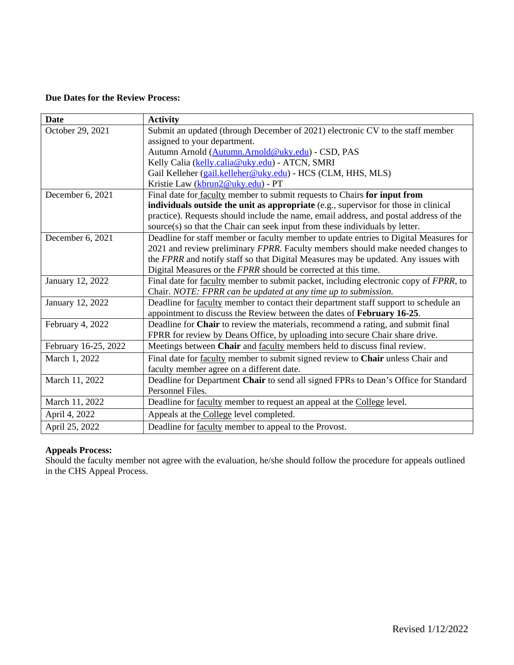### **Due Dates for the Review Process:**

| <b>Date</b>          | <b>Activity</b>                                                                       |
|----------------------|---------------------------------------------------------------------------------------|
| October 29, 2021     | Submit an updated (through December of 2021) electronic CV to the staff member        |
|                      | assigned to your department.                                                          |
|                      | Autumn Arnold (Autumn.Arnold@uky.edu) - CSD, PAS                                      |
|                      | Kelly Calia (kelly.calia@uky.edu) - ATCN, SMRI                                        |
|                      | Gail Kelleher (gail.kelleher@uky.edu) - HCS (CLM, HHS, MLS)                           |
|                      | Kristie Law (kbrun2@uky.edu) - PT                                                     |
| December 6, 2021     | Final date for <b>faculty</b> member to submit requests to Chairs for input from      |
|                      | individuals outside the unit as appropriate (e.g., supervisor for those in clinical   |
|                      | practice). Requests should include the name, email address, and postal address of the |
|                      | source(s) so that the Chair can seek input from these individuals by letter.          |
| December 6, 2021     | Deadline for staff member or faculty member to update entries to Digital Measures for |
|                      | 2021 and review preliminary FPRR. Faculty members should make needed changes to       |
|                      | the FPRR and notify staff so that Digital Measures may be updated. Any issues with    |
|                      | Digital Measures or the FPRR should be corrected at this time.                        |
| January 12, 2022     | Final date for faculty member to submit packet, including electronic copy of FPRR, to |
|                      | Chair. NOTE: FPRR can be updated at any time up to submission.                        |
| January 12, 2022     | Deadline for faculty member to contact their department staff support to schedule an  |
|                      | appointment to discuss the Review between the dates of February 16-25.                |
| February 4, 2022     | Deadline for Chair to review the materials, recommend a rating, and submit final      |
|                      | FPRR for review by Deans Office, by uploading into secure Chair share drive.          |
| February 16-25, 2022 | Meetings between Chair and faculty members held to discuss final review.              |
| March 1, 2022        | Final date for faculty member to submit signed review to Chair unless Chair and       |
|                      | faculty member agree on a different date.                                             |
| March 11, 2022       | Deadline for Department Chair to send all signed FPRs to Dean's Office for Standard   |
|                      | Personnel Files.                                                                      |
| March 11, 2022       | Deadline for faculty member to request an appeal at the College level.                |
| April 4, 2022        | Appeals at the College level completed.                                               |
| April 25, 2022       | Deadline for faculty member to appeal to the Provost.                                 |

# **Appeals Process:**

Should the faculty member not agree with the evaluation, he/she should follow the procedure for appeals outlined in the CHS Appeal Process.